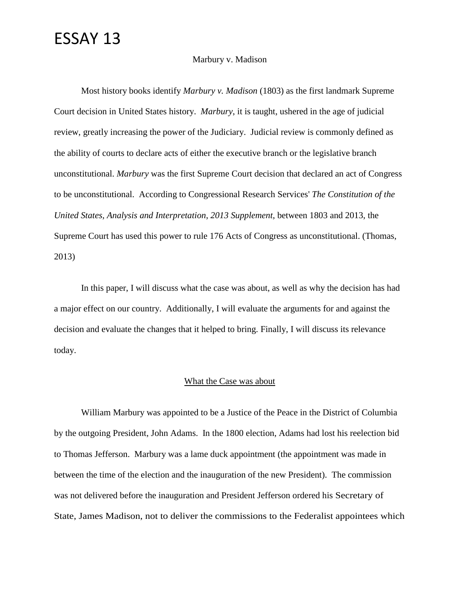#### Marbury v. Madison

Most history books identify *Marbury v. Madison* (1803) as the first landmark Supreme Court decision in United States history. *Marbury*, it is taught, ushered in the age of judicial review, greatly increasing the power of the Judiciary. Judicial review is commonly defined as the ability of courts to declare acts of either the executive branch or the legislative branch unconstitutional. *Marbury* was the first Supreme Court decision that declared an act of Congress to be unconstitutional. According to Congressional Research Services' *The Constitution of the United States, Analysis and Interpretation*, *2013 Supplement*, between 1803 and 2013, the Supreme Court has used this power to rule 176 Acts of Congress as unconstitutional. (Thomas, 2013)

In this paper, I will discuss what the case was about, as well as why the decision has had a major effect on our country. Additionally, I will evaluate the arguments for and against the decision and evaluate the changes that it helped to bring. Finally, I will discuss its relevance today.

#### What the Case was about

William Marbury was appointed to be a Justice of the Peace in the District of Columbia by the outgoing President, John Adams. In the 1800 election, Adams had lost his reelection bid to Thomas Jefferson. Marbury was a lame duck appointment (the appointment was made in between the time of the election and the inauguration of the new President). The commission was not delivered before the inauguration and President Jefferson ordered his Secretary of State, James Madison, not to deliver the commissions to the Federalist appointees which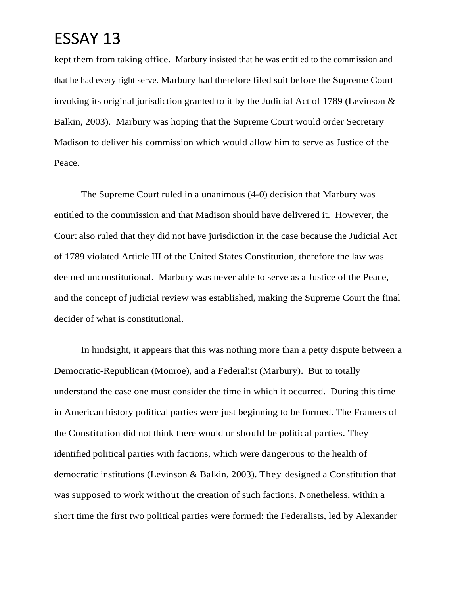kept them from taking office. Marbury insisted that he was entitled to the commission and that he had every right serve. Marbury had therefore filed suit before the Supreme Court invoking its original jurisdiction granted to it by the Judicial Act of 1789 (Levinson & Balkin, 2003). Marbury was hoping that the Supreme Court would order Secretary Madison to deliver his commission which would allow him to serve as Justice of the Peace.

The Supreme Court ruled in a unanimous (4-0) decision that Marbury was entitled to the commission and that Madison should have delivered it. However, the Court also ruled that they did not have jurisdiction in the case because the Judicial Act of 1789 violated Article III of the United States Constitution, therefore the law was deemed unconstitutional. Marbury was never able to serve as a Justice of the Peace, and the concept of judicial review was established, making the Supreme Court the final decider of what is constitutional.

In hindsight, it appears that this was nothing more than a petty dispute between a Democratic-Republican (Monroe), and a Federalist (Marbury). But to totally understand the case one must consider the time in which it occurred. During this time in American history political parties were just beginning to be formed. The Framers of the Constitution did not think there would or should be political parties. They identified political parties with factions, which were dangerous to the health of democratic institutions (Levinson & Balkin, 2003). They designed a Constitution that was supposed to work without the creation of such factions. Nonetheless, within a short time the first two political parties were formed: the Federalists, led by Alexander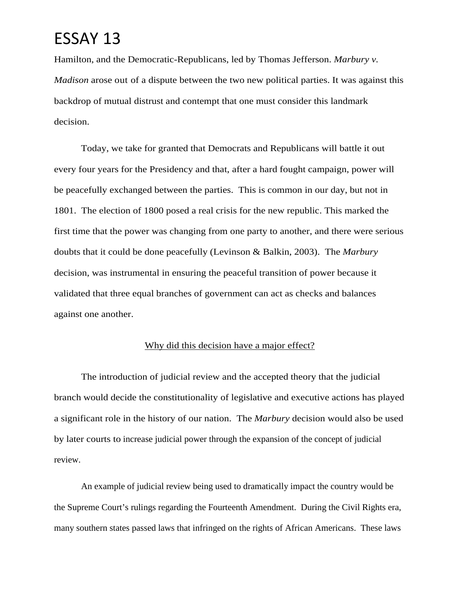Hamilton, and the Democratic-Republicans, led by Thomas Jefferson. *Marbury v. Madison* arose out of a dispute between the two new political parties. It was against this backdrop of mutual distrust and contempt that one must consider this landmark decision.

Today, we take for granted that Democrats and Republicans will battle it out every four years for the Presidency and that, after a hard fought campaign, power will be peacefully exchanged between the parties. This is common in our day, but not in 1801. The election of 1800 posed a real crisis for the new republic. This marked the first time that the power was changing from one party to another, and there were serious doubts that it could be done peacefully (Levinson & Balkin, 2003). The *Marbury* decision, was instrumental in ensuring the peaceful transition of power because it validated that three equal branches of government can act as checks and balances against one another.

#### Why did this decision have a major effect?

The introduction of judicial review and the accepted theory that the judicial branch would decide the constitutionality of legislative and executive actions has played a significant role in the history of our nation. The *Marbury* decision would also be used by later courts to increase judicial power through the expansion of the concept of judicial review.

An example of judicial review being used to dramatically impact the country would be the Supreme Court's rulings regarding the Fourteenth Amendment. During the Civil Rights era, many southern states passed laws that infringed on the rights of African Americans. These laws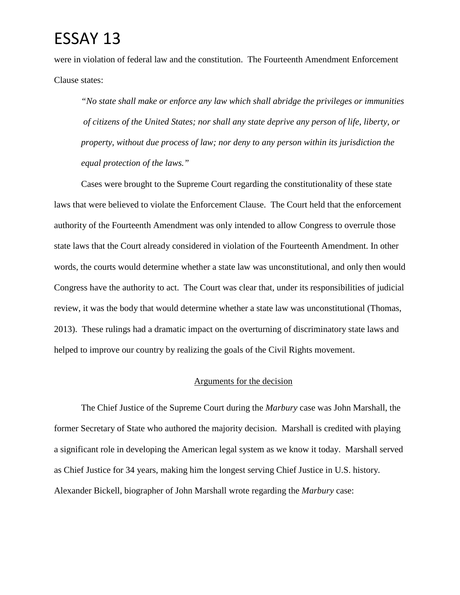were in violation of federal law and the constitution. The Fourteenth Amendment Enforcement Clause states:

*"No state shall make or enforce any law which shall abridge the privileges or immunities of citizens of the United States; nor shall any state deprive any person of life, liberty, or property, without due process of law; nor deny to any person within its jurisdiction the equal protection of the laws."*

Cases were brought to the Supreme Court regarding the constitutionality of these state laws that were believed to violate the Enforcement Clause. The Court held that the enforcement authority of the Fourteenth Amendment was only intended to allow Congress to overrule those state laws that the Court already considered in violation of the Fourteenth Amendment. In other words, the courts would determine whether a state law was unconstitutional, and only then would Congress have the authority to act. The Court was clear that, under its responsibilities of judicial review, it was the body that would determine whether a state law was unconstitutional (Thomas, 2013). These rulings had a dramatic impact on the overturning of discriminatory state laws and helped to improve our country by realizing the goals of the Civil Rights movement.

### Arguments for the decision

The Chief Justice of the Supreme Court during the *Marbury* case was John Marshall, the former Secretary of State who authored the majority decision. Marshall is credited with playing a significant role in developing the American legal system as we know it today. Marshall served as Chief Justice for 34 years, making him the longest serving Chief Justice in U.S. history. Alexander Bickell, biographer of John Marshall wrote regarding the *Marbury* case: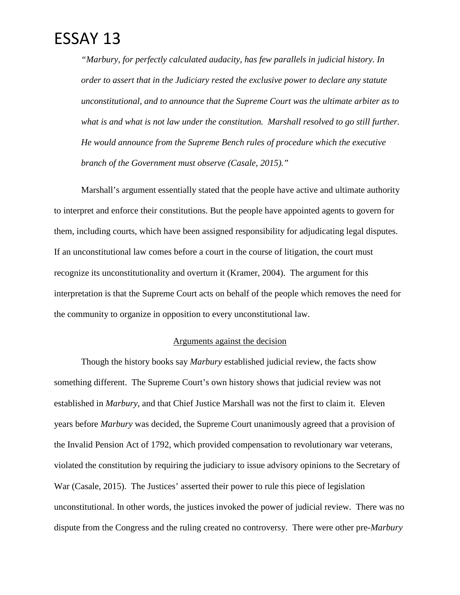*"Marbury, for perfectly calculated audacity, has few parallels in judicial history. In order to assert that in the Judiciary rested the exclusive power to declare any statute unconstitutional, and to announce that the Supreme Court was the ultimate arbiter as to*  what is and what is not law under the constitution. Marshall resolved to go still further. *He would announce from the Supreme Bench rules of procedure which the executive branch of the Government must observe (Casale, 2015)."*

Marshall's argument essentially stated that the people have active and ultimate authority to interpret and enforce their constitutions. But the people have appointed agents to govern for them, including courts, which have been assigned responsibility for adjudicating legal disputes. If an unconstitutional law comes before a court in the course of litigation, the court must recognize its unconstitutionality and overturn it (Kramer, 2004). The argument for this interpretation is that the Supreme Court acts on behalf of the people which removes the need for the community to organize in opposition to every unconstitutional law.

#### Arguments against the decision

Though the history books say *Marbury* established judicial review, the facts show something different. The Supreme Court's own history shows that judicial review was not established in *Marbury*, and that Chief Justice Marshall was not the first to claim it. Eleven years before *Marbury* was decided, the Supreme Court unanimously agreed that a provision of the Invalid Pension Act of 1792, which provided compensation to revolutionary war veterans, violated the constitution by requiring the judiciary to issue advisory opinions to the Secretary of War (Casale, 2015). The Justices' asserted their power to rule this piece of legislation unconstitutional. In other words, the justices invoked the power of judicial review. There was no dispute from the Congress and the ruling created no controversy. There were other pre-*Marbury*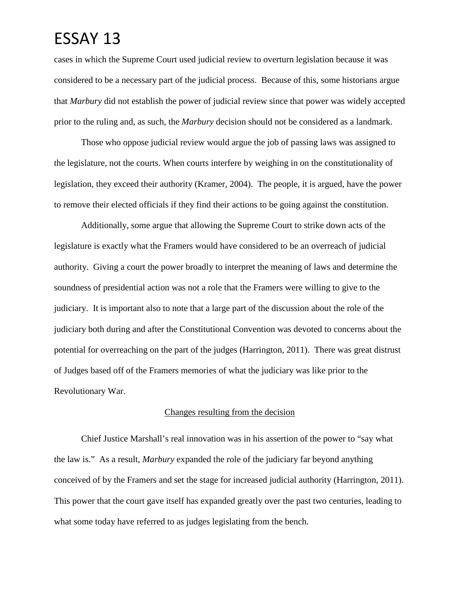cases in which the Supreme Court used judicial review to overturn legislation because it was considered to be a necessary part of the judicial process. Because of this, some historians argue that *Marbury* did not establish the power of judicial review since that power was widely accepted prior to the ruling and, as such, the *Marbury* decision should not be considered as a landmark.

Those who oppose judicial review would argue the job of passing laws was assigned to the legislature, not the courts. When courts interfere by weighing in on the constitutionality of legislation, they exceed their authority (Kramer, 2004). The people, it is argued, have the power to remove their elected officials if they find their actions to be going against the constitution.

Additionally, some argue that allowing the Supreme Court to strike down acts of the legislature is exactly what the Framers would have considered to be an overreach of judicial authority. Giving a court the power broadly to interpret the meaning of laws and determine the soundness of presidential action was not a role that the Framers were willing to give to the judiciary. It is important also to note that a large part of the discussion about the role of the judiciary both during and after the Constitutional Convention was devoted to concerns about the potential for overreaching on the part of the judges (Harrington, 2011). There was great distrust of Judges based off of the Framers memories of what the judiciary was like prior to the Revolutionary War.

#### Changes resulting from the decision

Chief Justice Marshall's real innovation was in his assertion of the power to "say what the law is." As a result, *Marbury* expanded the role of the judiciary far beyond anything conceived of by the Framers and set the stage for increased judicial authority (Harrington, 2011). This power that the court gave itself has expanded greatly over the past two centuries, leading to what some today have referred to as judges legislating from the bench.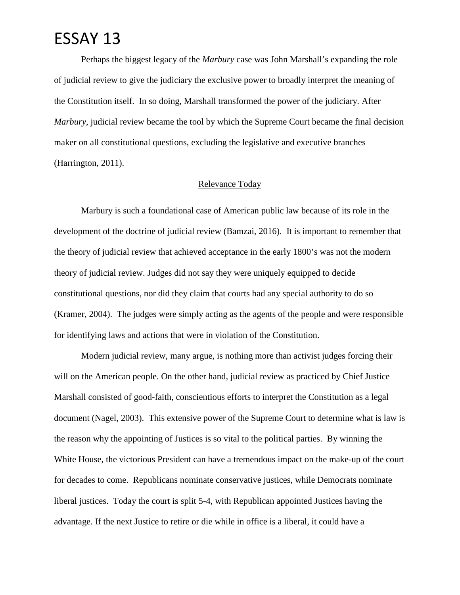Perhaps the biggest legacy of the *Marbury* case was John Marshall's expanding the role of judicial review to give the judiciary the exclusive power to broadly interpret the meaning of the Constitution itself. In so doing, Marshall transformed the power of the judiciary. After *Marbury*, judicial review became the tool by which the Supreme Court became the final decision maker on all constitutional questions, excluding the legislative and executive branches (Harrington, 2011).

#### Relevance Today

Marbury is such a foundational case of American public law because of its role in the development of the doctrine of judicial review (Bamzai, 2016). It is important to remember that the theory of judicial review that achieved acceptance in the early 1800's was not the modern theory of judicial review. Judges did not say they were uniquely equipped to decide constitutional questions, nor did they claim that courts had any special authority to do so (Kramer, 2004). The judges were simply acting as the agents of the people and were responsible for identifying laws and actions that were in violation of the Constitution.

Modern judicial review, many argue, is nothing more than activist judges forcing their will on the American people. On the other hand, judicial review as practiced by Chief Justice Marshall consisted of good-faith, conscientious efforts to interpret the Constitution as a legal document (Nagel, 2003). This extensive power of the Supreme Court to determine what is law is the reason why the appointing of Justices is so vital to the political parties. By winning the White House, the victorious President can have a tremendous impact on the make-up of the court for decades to come. Republicans nominate conservative justices, while Democrats nominate liberal justices. Today the court is split 5-4, with Republican appointed Justices having the advantage. If the next Justice to retire or die while in office is a liberal, it could have a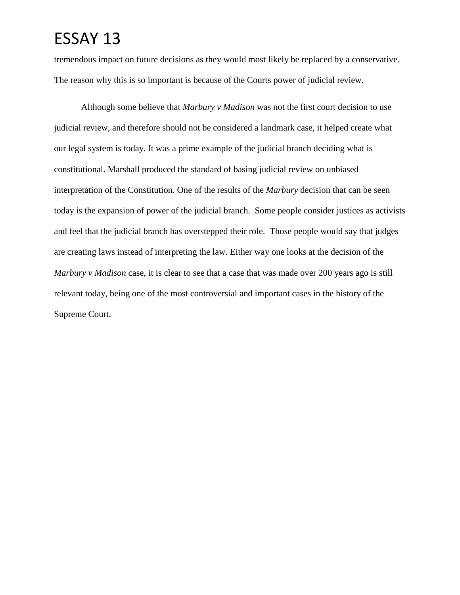tremendous impact on future decisions as they would most likely be replaced by a conservative. The reason why this is so important is because of the Courts power of judicial review.

Although some believe that *Marbury v Madison* was not the first court decision to use judicial review, and therefore should not be considered a landmark case, it helped create what our legal system is today. It was a prime example of the judicial branch deciding what is constitutional. Marshall produced the standard of basing judicial review on unbiased interpretation of the Constitution. One of the results of the *Marbury* decision that can be seen today is the expansion of power of the judicial branch. Some people consider justices as activists and feel that the judicial branch has overstepped their role. Those people would say that judges are creating laws instead of interpreting the law. Either way one looks at the decision of the *Marbury v Madison* case, it is clear to see that a case that was made over 200 years ago is still relevant today, being one of the most controversial and important cases in the history of the Supreme Court.